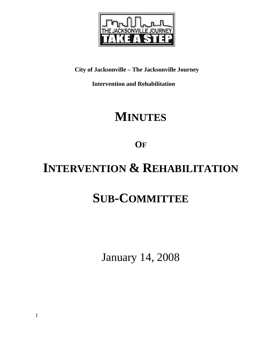

**City of Jacksonville – The Jacksonville Journey** 

 **Intervention and Rehabilitation** 

## **MINUTES**

**OF**

# **INTERVENTION & REHABILITATION**

# **SUB-COMMITTEE**

January 14, 2008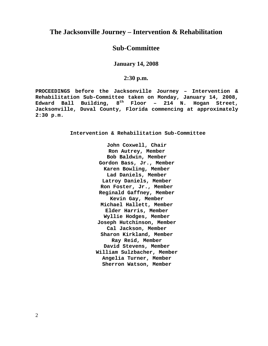### **The Jacksonville Journey – Intervention & Rehabilitation**

## **Sub-Committee**

#### **January 14, 2008**

#### **2:30 p.m.**

**PROCEEDINGS before the Jacksonville Journey – Intervention & Rehabilitation Sub-Committee taken on Monday, January 14, 2008, Edward Ball Building, 8th Floor – 214 N. Hogan Street, Jacksonville, Duval County, Florida commencing at approximately 2:30 p.m.** 

**Intervention & Rehabilitation Sub-Committee** 

**John Coxwell, Chair Ron Autrey, Member Bob Baldwin, Member Gordon Bass, Jr., Member Karen Bowling, Member Lad Daniels, Member Latroy Daniels, Member Ron Foster, Jr., Member Reginald Gaffney, Member Kevin Gay, Member Michael Hallett, Member Elder Harris, Member Wyllie Hodges, Member Joseph Hutchinson, Member Cal Jackson, Member Sharon Kirkland, Member Ray Reid, Member David Stevens, Member William Sulzbacher, Member Angelia Turner, Member Sherron Watson, Member**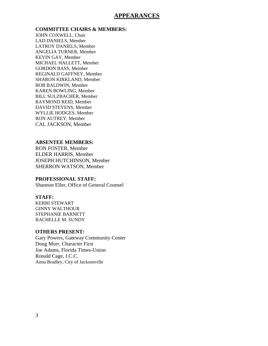#### **APPEARANCES**

#### **COMMITTEE CHAIRS & MEMBERS:**

JOHN COXWELL, Chair LAD DANIELS, Member LATROY DANIELS, Member ANGELIA TURNER, Member KEVIN GAY, Member MICHAEL HALLETT, Member GORDON BASS, Member REGINALD GAFFNEY, Member SHARON KIRKLAND, Member BOB BALDWIN, Member KAREN BOWLING, Member BILL SULZBACHER, Member RAYMOND REID, Member DAVID STEVENS, Member WYLLIE HODGES, Member RON AUTREY, Member CAL JACKSON, Member

#### **ABSENTEE MEMBERS:**

RON FOSTER, Member ELDER HARRIS, Member JOSEPH HUTCHINSON, Member SHERRON WATSON, Member

#### **PROFESSIONAL STAFF:**

Shannon Eller, Office of General Counsel

#### **STAFF:**

KERRI STEWART GINNY WALTHOUR STEPHANIE BARNETT RACHELLE M. SUNDY

#### **OTHERS PRESENT:**

Gary Powers, Gateway Community Center Doug Murr, Character First Joe Adams, Florida Times-Union Ronald Cage, J.C.C. Anna Bradley, City of Jacksonville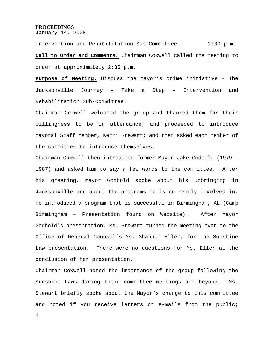#### **PROCEEDINGS**

January 14, 2008

Intervention and Rehabilitation Sub-Committee 2:30 p.m. **Call to Order and Comments.** Chairman Coxwell called the meeting to order at approximately 2:35 p.m.

**Purpose of Meeting.** Discuss the Mayor's crime initiative – The Jacksonville Journey – Take a Step – Intervention and Rehabilitation Sub-Committee.

Chairman Coxwell welcomed the group and thanked them for their willingness to be in attendance; and proceeded to introduce Mayoral Staff Member, Kerri Stewart; and then asked each member of the committee to introduce themselves.

Chairman Coxwell then introduced former Mayor Jake Godbold (1979 – 1987) and asked him to say a few words to the committee. After his greeting, Mayor Godbold spoke about his upbringing in Jacksonville and about the programs he is currently involved in. He introduced a program that is successful in Birmingham, AL (Camp Birmingham – Presentation found on Website). After Mayor Godbold's presentation, Ms. Stewart turned the meeting over to the Office of General Counsel's Ms. Shannon Eller, for the Sunshine Law presentation. There were no questions for Ms. Eller at the conclusion of her presentation.

Chairman Coxwell noted the importance of the group following the Sunshine Laws during their committee meetings and beyond. Ms. Stewart briefly spoke about the Mayor's charge to this committee and noted if you receive letters or e-mails from the public;

4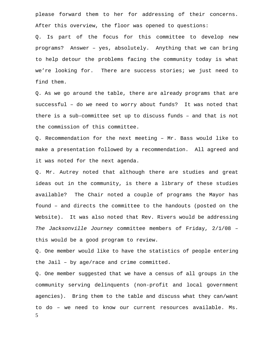please forward them to her for addressing of their concerns. After this overview, the floor was opened to questions:

Q. Is part of the focus for this committee to develop new programs? Answer – yes, absolutely. Anything that we can bring to help detour the problems facing the community today is what we're looking for. There are success stories; we just need to find them.

Q. As we go around the table, there are already programs that are successful – do we need to worry about funds? It was noted that there is a sub-committee set up to discuss funds – and that is not the commission of this committee.

Q. Recommendation for the next meeting – Mr. Bass would like to make a presentation followed by a recommendation. All agreed and it was noted for the next agenda.

Q. Mr. Autrey noted that although there are studies and great ideas out in the community, is there a library of these studies available? The Chair noted a couple of programs the Mayor has found – and directs the committee to the handouts (posted on the Website). It was also noted that Rev. Rivers would be addressing *The Jacksonville Journey* committee members of Friday, 2/1/08 – this would be a good program to review.

Q. One member would like to have the statistics of people entering the Jail – by age/race and crime committed.

5 Q. One member suggested that we have a census of all groups in the community serving delinquents (non-profit and local government agencies). Bring them to the table and discuss what they can/want to do – we need to know our current resources available. Ms.